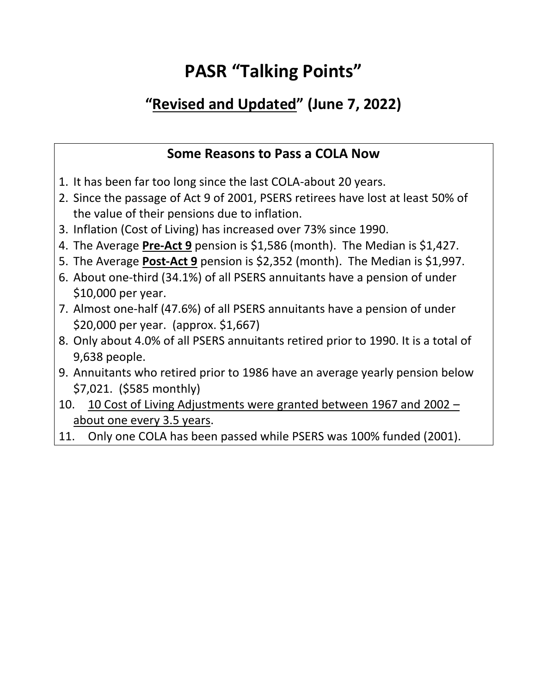## **PASR "Talking Points"**

## **"Revised and Updated" (June 7, 2022)**

## **Some Reasons to Pass a COLA Now**

- 1. It has been far too long since the last COLA-about 20 years.
- 2. Since the passage of Act 9 of 2001, PSERS retirees have lost at least 50% of the value of their pensions due to inflation.
- 3. Inflation (Cost of Living) has increased over 73% since 1990.
- 4. The Average **Pre-Act 9** pension is \$1,586 (month). The Median is \$1,427.
- 5. The Average **Post-Act 9** pension is \$2,352 (month). The Median is \$1,997.
- 6. About one-third (34.1%) of all PSERS annuitants have a pension of under \$10,000 per year.
- 7. Almost one-half (47.6%) of all PSERS annuitants have a pension of under \$20,000 per year. (approx. \$1,667)
- 8. Only about 4.0% of all PSERS annuitants retired prior to 1990. It is a total of 9,638 people.
- 9. Annuitants who retired prior to 1986 have an average yearly pension below \$7,021. (\$585 monthly)
- 10. 10 Cost of Living Adjustments were granted between 1967 and 2002 about one every 3.5 years.
- 11. Only one COLA has been passed while PSERS was 100% funded (2001).